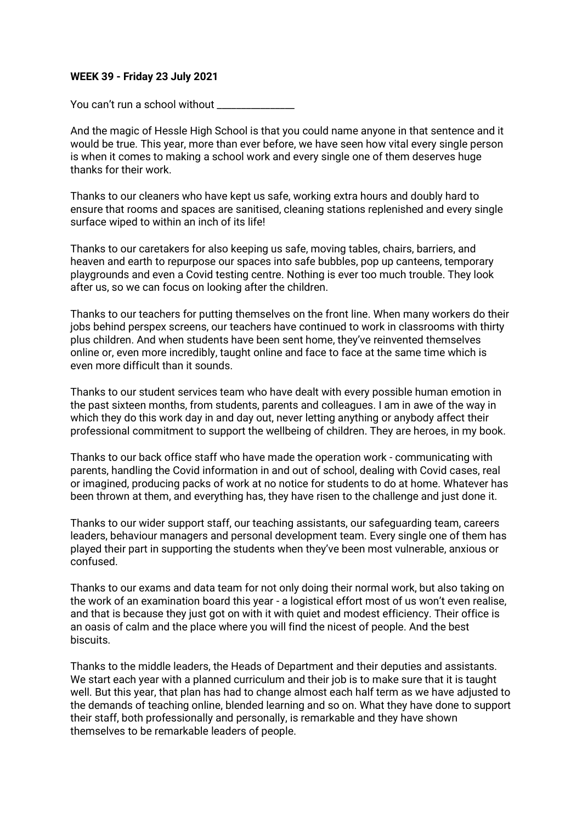### **WEEK 39 - Friday 23 July 2021**

You can't run a school without

And the magic of Hessle High School is that you could name anyone in that sentence and it would be true. This year, more than ever before, we have seen how vital every single person is when it comes to making a school work and every single one of them deserves huge thanks for their work.

Thanks to our cleaners who have kept us safe, working extra hours and doubly hard to ensure that rooms and spaces are sanitised, cleaning stations replenished and every single surface wiped to within an inch of its life!

Thanks to our caretakers for also keeping us safe, moving tables, chairs, barriers, and heaven and earth to repurpose our spaces into safe bubbles, pop up canteens, temporary playgrounds and even a Covid testing centre. Nothing is ever too much trouble. They look after us, so we can focus on looking after the children.

Thanks to our teachers for putting themselves on the front line. When many workers do their jobs behind perspex screens, our teachers have continued to work in classrooms with thirty plus children. And when students have been sent home, they've reinvented themselves online or, even more incredibly, taught online and face to face at the same time which is even more difficult than it sounds.

Thanks to our student services team who have dealt with every possible human emotion in the past sixteen months, from students, parents and colleagues. I am in awe of the way in which they do this work day in and day out, never letting anything or anybody affect their professional commitment to support the wellbeing of children. They are heroes, in my book.

Thanks to our back office staff who have made the operation work - communicating with parents, handling the Covid information in and out of school, dealing with Covid cases, real or imagined, producing packs of work at no notice for students to do at home. Whatever has been thrown at them, and everything has, they have risen to the challenge and just done it.

Thanks to our wider support staff, our teaching assistants, our safeguarding team, careers leaders, behaviour managers and personal development team. Every single one of them has played their part in supporting the students when they've been most vulnerable, anxious or confused.

Thanks to our exams and data team for not only doing their normal work, but also taking on the work of an examination board this year - a logistical effort most of us won't even realise, and that is because they just got on with it with quiet and modest efficiency. Their office is an oasis of calm and the place where you will find the nicest of people. And the best biscuits.

Thanks to the middle leaders, the Heads of Department and their deputies and assistants. We start each year with a planned curriculum and their job is to make sure that it is taught well. But this year, that plan has had to change almost each half term as we have adjusted to the demands of teaching online, blended learning and so on. What they have done to support their staff, both professionally and personally, is remarkable and they have shown themselves to be remarkable leaders of people.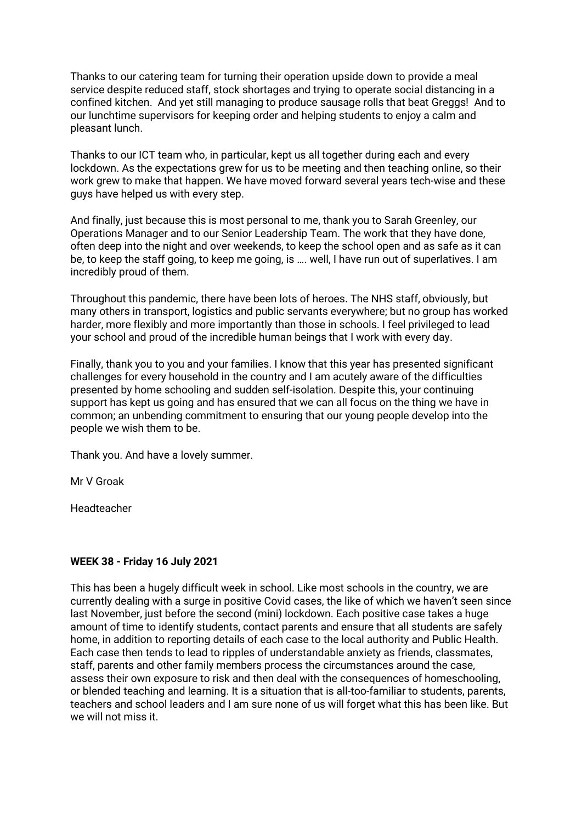Thanks to our catering team for turning their operation upside down to provide a meal service despite reduced staff, stock shortages and trying to operate social distancing in a confined kitchen. And yet still managing to produce sausage rolls that beat Greggs! And to our lunchtime supervisors for keeping order and helping students to enjoy a calm and pleasant lunch.

Thanks to our ICT team who, in particular, kept us all together during each and every lockdown. As the expectations grew for us to be meeting and then teaching online, so their work grew to make that happen. We have moved forward several years tech-wise and these guys have helped us with every step.

And finally, just because this is most personal to me, thank you to Sarah Greenley, our Operations Manager and to our Senior Leadership Team. The work that they have done, often deep into the night and over weekends, to keep the school open and as safe as it can be, to keep the staff going, to keep me going, is …. well, I have run out of superlatives. I am incredibly proud of them.

Throughout this pandemic, there have been lots of heroes. The NHS staff, obviously, but many others in transport, logistics and public servants everywhere; but no group has worked harder, more flexibly and more importantly than those in schools. I feel privileged to lead your school and proud of the incredible human beings that I work with every day.

Finally, thank you to you and your families. I know that this year has presented significant challenges for every household in the country and I am acutely aware of the difficulties presented by home schooling and sudden self-isolation. Despite this, your continuing support has kept us going and has ensured that we can all focus on the thing we have in common; an unbending commitment to ensuring that our young people develop into the people we wish them to be.

Thank you. And have a lovely summer.

Mr V Groak

Headteacher

# **WEEK 38 - Friday 16 July 2021**

This has been a hugely difficult week in school. Like most schools in the country, we are currently dealing with a surge in positive Covid cases, the like of which we haven't seen since last November, just before the second (mini) lockdown. Each positive case takes a huge amount of time to identify students, contact parents and ensure that all students are safely home, in addition to reporting details of each case to the local authority and Public Health. Each case then tends to lead to ripples of understandable anxiety as friends, classmates, staff, parents and other family members process the circumstances around the case, assess their own exposure to risk and then deal with the consequences of homeschooling, or blended teaching and learning. It is a situation that is all-too-familiar to students, parents, teachers and school leaders and I am sure none of us will forget what this has been like. But we will not miss it.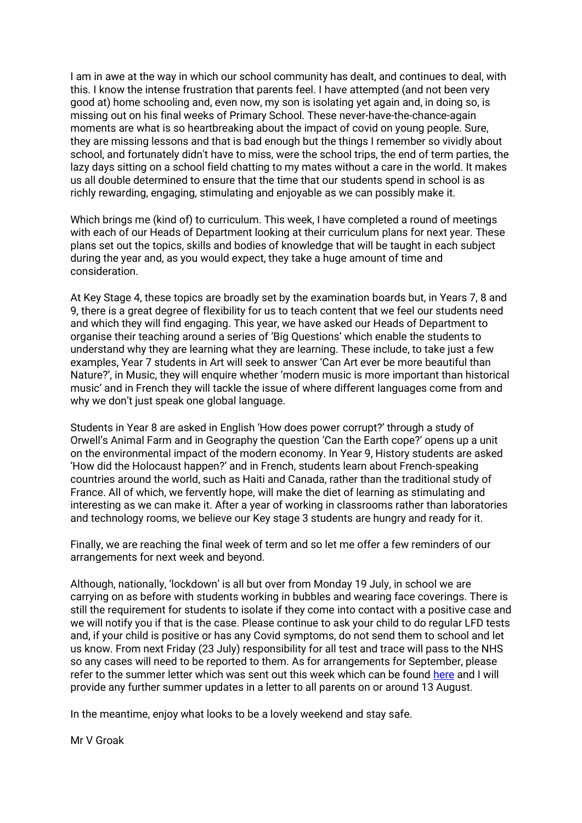I am in awe at the way in which our school community has dealt, and continues to deal, with this. I know the intense frustration that parents feel. I have attempted (and not been very good at) home schooling and, even now, my son is isolating yet again and, in doing so, is missing out on his final weeks of Primary School. These never-have-the-chance-again moments are what is so heartbreaking about the impact of covid on young people. Sure, they are missing lessons and that is bad enough but the things I remember so vividly about school, and fortunately didn't have to miss, were the school trips, the end of term parties, the lazy days sitting on a school field chatting to my mates without a care in the world. It makes us all double determined to ensure that the time that our students spend in school is as richly rewarding, engaging, stimulating and enjoyable as we can possibly make it.

Which brings me (kind of) to curriculum. This week, I have completed a round of meetings with each of our Heads of Department looking at their curriculum plans for next year. These plans set out the topics, skills and bodies of knowledge that will be taught in each subject during the year and, as you would expect, they take a huge amount of time and consideration.

At Key Stage 4, these topics are broadly set by the examination boards but, in Years 7, 8 and 9, there is a great degree of flexibility for us to teach content that we feel our students need and which they will find engaging. This year, we have asked our Heads of Department to organise their teaching around a series of 'Big Questions' which enable the students to understand why they are learning what they are learning. These include, to take just a few examples, Year 7 students in Art will seek to answer 'Can Art ever be more beautiful than Nature?', in Music, they will enquire whether 'modern music is more important than historical music' and in French they will tackle the issue of where different languages come from and why we don't just speak one global language.

Students in Year 8 are asked in English 'How does power corrupt?' through a study of Orwell's Animal Farm and in Geography the question 'Can the Earth cope?' opens up a unit on the environmental impact of the modern economy. In Year 9, History students are asked 'How did the Holocaust happen?' and in French, students learn about French-speaking countries around the world, such as Haiti and Canada, rather than the traditional study of France. All of which, we fervently hope, will make the diet of learning as stimulating and interesting as we can make it. After a year of working in classrooms rather than laboratories and technology rooms, we believe our Key stage 3 students are hungry and ready for it.

Finally, we are reaching the final week of term and so let me offer a few reminders of our arrangements for next week and beyond.

Although, nationally, 'lockdown' is all but over from Monday 19 July, in school we are carrying on as before with students working in bubbles and wearing face coverings. There is still the requirement for students to isolate if they come into contact with a positive case and we will notify you if that is the case. Please continue to ask your child to do regular LFD tests and, if your child is positive or has any Covid symptoms, do not send them to school and let us know. From next Friday (23 July) responsibility for all test and trace will pass to the NHS so any cases will need to be reported to them. As for arrangements for September, please refer to the summer letter which was sent out this week which can be found [here](/page/?title=Parent+Communication&pid=107) and I will provide any further summer updates in a letter to all parents on or around 13 August.

In the meantime, enjoy what looks to be a lovely weekend and stay safe.

Mr V Groak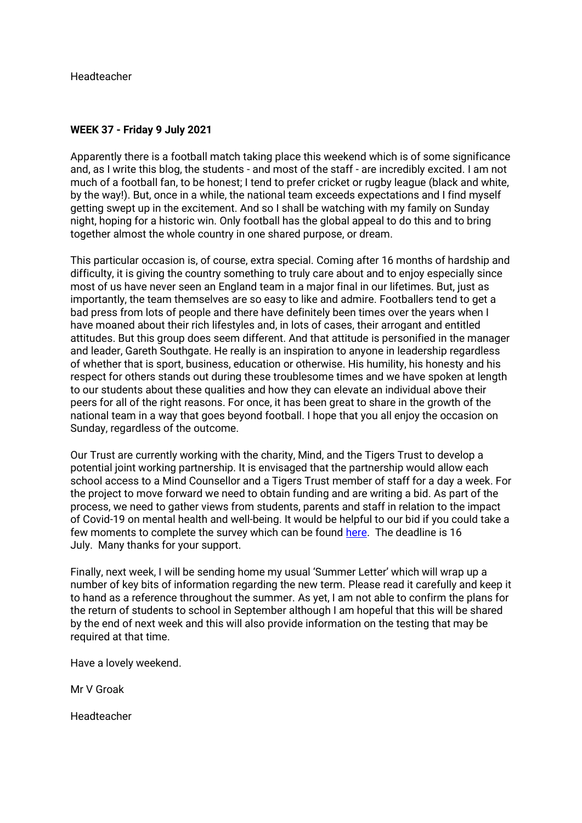Headteacher

### **WEEK 37 - Friday 9 July 2021**

Apparently there is a football match taking place this weekend which is of some significance and, as I write this blog, the students - and most of the staff - are incredibly excited. I am not much of a football fan, to be honest; I tend to prefer cricket or rugby league (black and white, by the way!). But, once in a while, the national team exceeds expectations and I find myself getting swept up in the excitement. And so I shall be watching with my family on Sunday night, hoping for a historic win. Only football has the global appeal to do this and to bring together almost the whole country in one shared purpose, or dream.

This particular occasion is, of course, extra special. Coming after 16 months of hardship and difficulty, it is giving the country something to truly care about and to enjoy especially since most of us have never seen an England team in a major final in our lifetimes. But, just as importantly, the team themselves are so easy to like and admire. Footballers tend to get a bad press from lots of people and there have definitely been times over the years when I have moaned about their rich lifestyles and, in lots of cases, their arrogant and entitled attitudes. But this group does seem different. And that attitude is personified in the manager and leader, Gareth Southgate. He really is an inspiration to anyone in leadership regardless of whether that is sport, business, education or otherwise. His humility, his honesty and his respect for others stands out during these troublesome times and we have spoken at length to our students about these qualities and how they can elevate an individual above their peers for all of the right reasons. For once, it has been great to share in the growth of the national team in a way that goes beyond football. I hope that you all enjoy the occasion on Sunday, regardless of the outcome.

Our Trust are currently working with the charity, Mind, and the Tigers Trust to develop a potential joint working partnership. It is envisaged that the partnership would allow each school access to a Mind Counsellor and a Tigers Trust member of staff for a day a week. For the project to move forward we need to obtain funding and are writing a bid. As part of the process, we need to gather views from students, parents and staff in relation to the impact of Covid-19 on mental health and well-being. It would be helpful to our bid if you could take a few moments to complete the survey which can be found [here.](https://www.surveymonkey.com/r/QGXHMBT) The deadline is 16 July. Many thanks for your support.

Finally, next week, I will be sending home my usual 'Summer Letter' which will wrap up a number of key bits of information regarding the new term. Please read it carefully and keep it to hand as a reference throughout the summer. As yet, I am not able to confirm the plans for the return of students to school in September although I am hopeful that this will be shared by the end of next week and this will also provide information on the testing that may be required at that time.

Have a lovely weekend.

Mr V Groak

Headteacher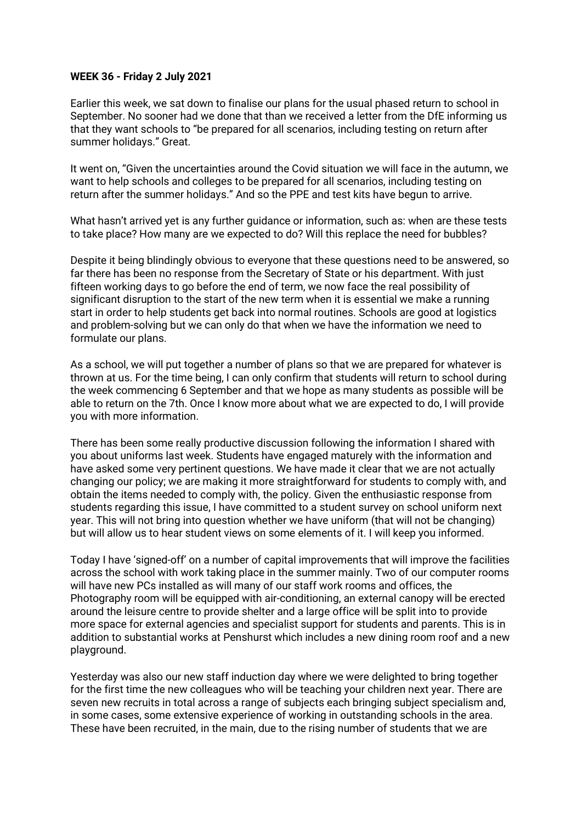### **WEEK 36 - Friday 2 July 2021**

Earlier this week, we sat down to finalise our plans for the usual phased return to school in September. No sooner had we done that than we received a letter from the DfE informing us that they want schools to "be prepared for all scenarios, including testing on return after summer holidays." Great.

It went on, "Given the uncertainties around the Covid situation we will face in the autumn, we want to help schools and colleges to be prepared for all scenarios, including testing on return after the summer holidays." And so the PPE and test kits have begun to arrive.

What hasn't arrived yet is any further guidance or information, such as: when are these tests to take place? How many are we expected to do? Will this replace the need for bubbles?

Despite it being blindingly obvious to everyone that these questions need to be answered, so far there has been no response from the Secretary of State or his department. With just fifteen working days to go before the end of term, we now face the real possibility of significant disruption to the start of the new term when it is essential we make a running start in order to help students get back into normal routines. Schools are good at logistics and problem-solving but we can only do that when we have the information we need to formulate our plans.

As a school, we will put together a number of plans so that we are prepared for whatever is thrown at us. For the time being, I can only confirm that students will return to school during the week commencing 6 September and that we hope as many students as possible will be able to return on the 7th. Once I know more about what we are expected to do, I will provide you with more information.

There has been some really productive discussion following the information I shared with you about uniforms last week. Students have engaged maturely with the information and have asked some very pertinent questions. We have made it clear that we are not actually changing our policy; we are making it more straightforward for students to comply with, and obtain the items needed to comply with, the policy. Given the enthusiastic response from students regarding this issue, I have committed to a student survey on school uniform next year. This will not bring into question whether we have uniform (that will not be changing) but will allow us to hear student views on some elements of it. I will keep you informed.

Today I have 'signed-off' on a number of capital improvements that will improve the facilities across the school with work taking place in the summer mainly. Two of our computer rooms will have new PCs installed as will many of our staff work rooms and offices, the Photography room will be equipped with air-conditioning, an external canopy will be erected around the leisure centre to provide shelter and a large office will be split into to provide more space for external agencies and specialist support for students and parents. This is in addition to substantial works at Penshurst which includes a new dining room roof and a new playground.

Yesterday was also our new staff induction day where we were delighted to bring together for the first time the new colleagues who will be teaching your children next year. There are seven new recruits in total across a range of subjects each bringing subject specialism and, in some cases, some extensive experience of working in outstanding schools in the area. These have been recruited, in the main, due to the rising number of students that we are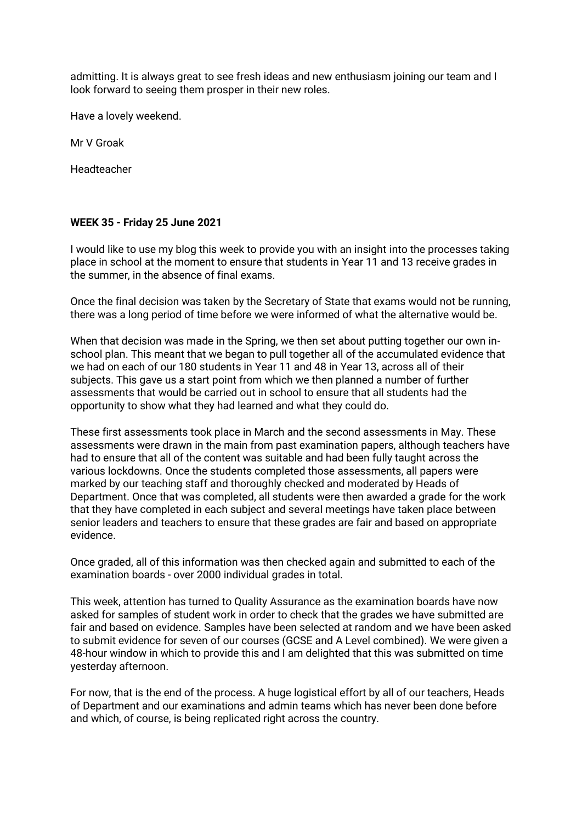admitting. It is always great to see fresh ideas and new enthusiasm joining our team and I look forward to seeing them prosper in their new roles.

Have a lovely weekend.

Mr V Groak

Headteacher

### **WEEK 35 - Friday 25 June 2021**

I would like to use my blog this week to provide you with an insight into the processes taking place in school at the moment to ensure that students in Year 11 and 13 receive grades in the summer, in the absence of final exams.

Once the final decision was taken by the Secretary of State that exams would not be running, there was a long period of time before we were informed of what the alternative would be.

When that decision was made in the Spring, we then set about putting together our own inschool plan. This meant that we began to pull together all of the accumulated evidence that we had on each of our 180 students in Year 11 and 48 in Year 13, across all of their subjects. This gave us a start point from which we then planned a number of further assessments that would be carried out in school to ensure that all students had the opportunity to show what they had learned and what they could do.

These first assessments took place in March and the second assessments in May. These assessments were drawn in the main from past examination papers, although teachers have had to ensure that all of the content was suitable and had been fully taught across the various lockdowns. Once the students completed those assessments, all papers were marked by our teaching staff and thoroughly checked and moderated by Heads of Department. Once that was completed, all students were then awarded a grade for the work that they have completed in each subject and several meetings have taken place between senior leaders and teachers to ensure that these grades are fair and based on appropriate evidence.

Once graded, all of this information was then checked again and submitted to each of the examination boards - over 2000 individual grades in total.

This week, attention has turned to Quality Assurance as the examination boards have now asked for samples of student work in order to check that the grades we have submitted are fair and based on evidence. Samples have been selected at random and we have been asked to submit evidence for seven of our courses (GCSE and A Level combined). We were given a 48-hour window in which to provide this and I am delighted that this was submitted on time yesterday afternoon.

For now, that is the end of the process. A huge logistical effort by all of our teachers, Heads of Department and our examinations and admin teams which has never been done before and which, of course, is being replicated right across the country.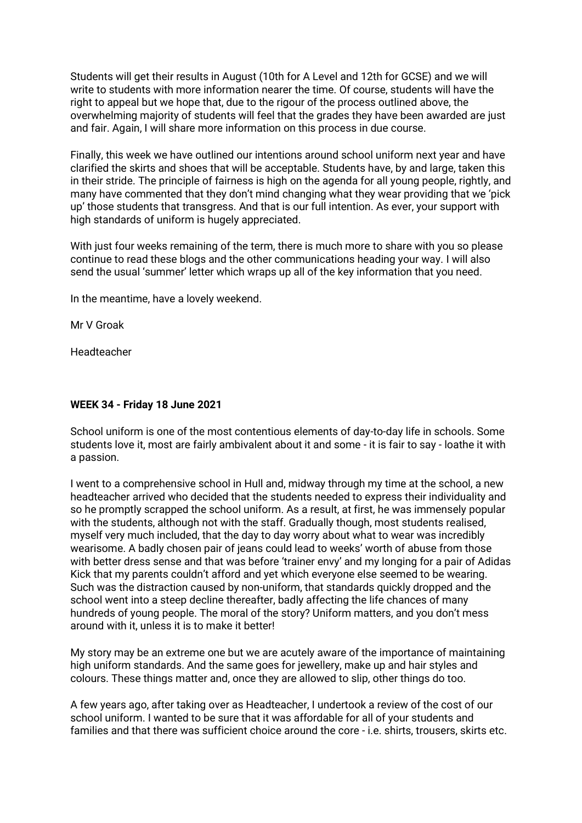Students will get their results in August (10th for A Level and 12th for GCSE) and we will write to students with more information nearer the time. Of course, students will have the right to appeal but we hope that, due to the rigour of the process outlined above, the overwhelming majority of students will feel that the grades they have been awarded are just and fair. Again, I will share more information on this process in due course.

Finally, this week we have outlined our intentions around school uniform next year and have clarified the skirts and shoes that will be acceptable. Students have, by and large, taken this in their stride. The principle of fairness is high on the agenda for all young people, rightly, and many have commented that they don't mind changing what they wear providing that we 'pick up' those students that transgress. And that is our full intention. As ever, your support with high standards of uniform is hugely appreciated.

With just four weeks remaining of the term, there is much more to share with you so please continue to read these blogs and the other communications heading your way. I will also send the usual 'summer' letter which wraps up all of the key information that you need.

In the meantime, have a lovely weekend.

Mr V Groak

Headteacher

### **WEEK 34 - Friday 18 June 2021**

School uniform is one of the most contentious elements of day-to-day life in schools. Some students love it, most are fairly ambivalent about it and some - it is fair to say - loathe it with a passion.

I went to a comprehensive school in Hull and, midway through my time at the school, a new headteacher arrived who decided that the students needed to express their individuality and so he promptly scrapped the school uniform. As a result, at first, he was immensely popular with the students, although not with the staff. Gradually though, most students realised, myself very much included, that the day to day worry about what to wear was incredibly wearisome. A badly chosen pair of jeans could lead to weeks' worth of abuse from those with better dress sense and that was before 'trainer envy' and my longing for a pair of Adidas Kick that my parents couldn't afford and yet which everyone else seemed to be wearing. Such was the distraction caused by non-uniform, that standards quickly dropped and the school went into a steep decline thereafter, badly affecting the life chances of many hundreds of young people. The moral of the story? Uniform matters, and you don't mess around with it, unless it is to make it better!

My story may be an extreme one but we are acutely aware of the importance of maintaining high uniform standards. And the same goes for jewellery, make up and hair styles and colours. These things matter and, once they are allowed to slip, other things do too.

A few years ago, after taking over as Headteacher, I undertook a review of the cost of our school uniform. I wanted to be sure that it was affordable for all of your students and families and that there was sufficient choice around the core - i.e. shirts, trousers, skirts etc.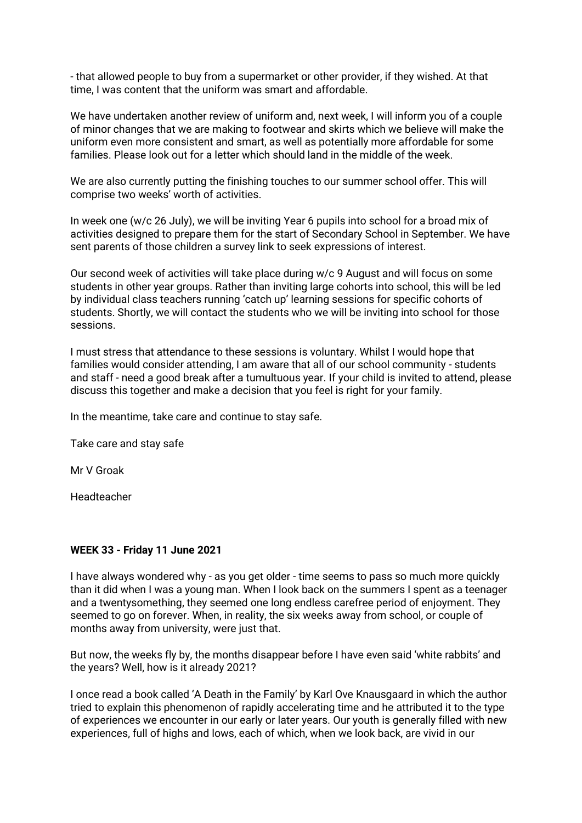- that allowed people to buy from a supermarket or other provider, if they wished. At that time, I was content that the uniform was smart and affordable.

We have undertaken another review of uniform and, next week, I will inform you of a couple of minor changes that we are making to footwear and skirts which we believe will make the uniform even more consistent and smart, as well as potentially more affordable for some families. Please look out for a letter which should land in the middle of the week.

We are also currently putting the finishing touches to our summer school offer. This will comprise two weeks' worth of activities.

In week one (w/c 26 July), we will be inviting Year 6 pupils into school for a broad mix of activities designed to prepare them for the start of Secondary School in September. We have sent parents of those children a survey link to seek expressions of interest.

Our second week of activities will take place during w/c 9 August and will focus on some students in other year groups. Rather than inviting large cohorts into school, this will be led by individual class teachers running 'catch up' learning sessions for specific cohorts of students. Shortly, we will contact the students who we will be inviting into school for those sessions.

I must stress that attendance to these sessions is voluntary. Whilst I would hope that families would consider attending, I am aware that all of our school community - students and staff - need a good break after a tumultuous year. If your child is invited to attend, please discuss this together and make a decision that you feel is right for your family.

In the meantime, take care and continue to stay safe.

Take care and stay safe

Mr V Groak

Headteacher

# **WEEK 33 - Friday 11 June 2021**

I have always wondered why - as you get older - time seems to pass so much more quickly than it did when I was a young man. When I look back on the summers I spent as a teenager and a twentysomething, they seemed one long endless carefree period of enjoyment. They seemed to go on forever. When, in reality, the six weeks away from school, or couple of months away from university, were just that.

But now, the weeks fly by, the months disappear before I have even said 'white rabbits' and the years? Well, how is it already 2021?

I once read a book called 'A Death in the Family' by Karl Ove Knausgaard in which the author tried to explain this phenomenon of rapidly accelerating time and he attributed it to the type of experiences we encounter in our early or later years. Our youth is generally filled with new experiences, full of highs and lows, each of which, when we look back, are vivid in our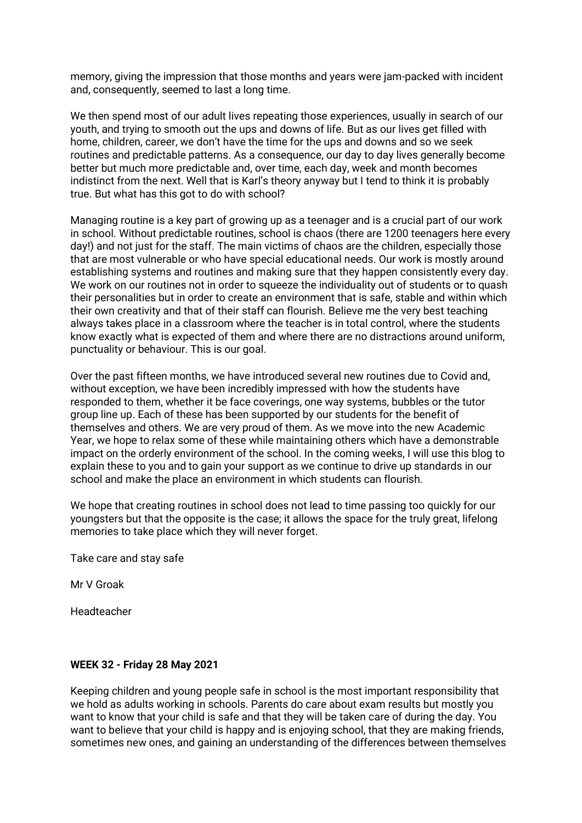memory, giving the impression that those months and years were jam-packed with incident and, consequently, seemed to last a long time.

We then spend most of our adult lives repeating those experiences, usually in search of our youth, and trying to smooth out the ups and downs of life. But as our lives get filled with home, children, career, we don't have the time for the ups and downs and so we seek routines and predictable patterns. As a consequence, our day to day lives generally become better but much more predictable and, over time, each day, week and month becomes indistinct from the next. Well that is Karl's theory anyway but I tend to think it is probably true. But what has this got to do with school?

Managing routine is a key part of growing up as a teenager and is a crucial part of our work in school. Without predictable routines, school is chaos (there are 1200 teenagers here every day!) and not just for the staff. The main victims of chaos are the children, especially those that are most vulnerable or who have special educational needs. Our work is mostly around establishing systems and routines and making sure that they happen consistently every day. We work on our routines not in order to squeeze the individuality out of students or to quash their personalities but in order to create an environment that is safe, stable and within which their own creativity and that of their staff can flourish. Believe me the very best teaching always takes place in a classroom where the teacher is in total control, where the students know exactly what is expected of them and where there are no distractions around uniform, punctuality or behaviour. This is our goal.

Over the past fifteen months, we have introduced several new routines due to Covid and, without exception, we have been incredibly impressed with how the students have responded to them, whether it be face coverings, one way systems, bubbles or the tutor group line up. Each of these has been supported by our students for the benefit of themselves and others. We are very proud of them. As we move into the new Academic Year, we hope to relax some of these while maintaining others which have a demonstrable impact on the orderly environment of the school. In the coming weeks, I will use this blog to explain these to you and to gain your support as we continue to drive up standards in our school and make the place an environment in which students can flourish.

We hope that creating routines in school does not lead to time passing too quickly for our youngsters but that the opposite is the case; it allows the space for the truly great, lifelong memories to take place which they will never forget.

Take care and stay safe

Mr V Groak

Headteacher

# **WEEK 32 - Friday 28 May 2021**

Keeping children and young people safe in school is the most important responsibility that we hold as adults working in schools. Parents do care about exam results but mostly you want to know that your child is safe and that they will be taken care of during the day. You want to believe that your child is happy and is enjoying school, that they are making friends, sometimes new ones, and gaining an understanding of the differences between themselves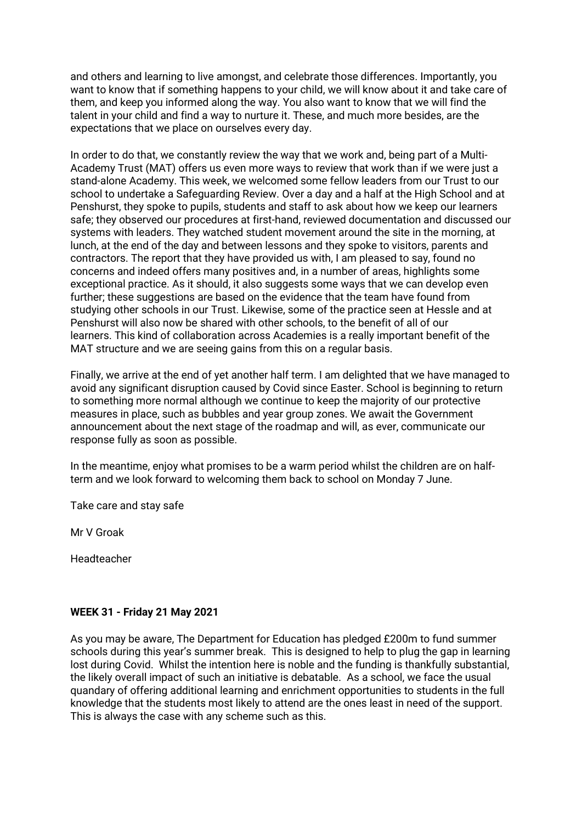and others and learning to live amongst, and celebrate those differences. Importantly, you want to know that if something happens to your child, we will know about it and take care of them, and keep you informed along the way. You also want to know that we will find the talent in your child and find a way to nurture it. These, and much more besides, are the expectations that we place on ourselves every day.

In order to do that, we constantly review the way that we work and, being part of a Multi-Academy Trust (MAT) offers us even more ways to review that work than if we were just a stand-alone Academy. This week, we welcomed some fellow leaders from our Trust to our school to undertake a Safeguarding Review. Over a day and a half at the High School and at Penshurst, they spoke to pupils, students and staff to ask about how we keep our learners safe; they observed our procedures at first-hand, reviewed documentation and discussed our systems with leaders. They watched student movement around the site in the morning, at lunch, at the end of the day and between lessons and they spoke to visitors, parents and contractors. The report that they have provided us with, I am pleased to say, found no concerns and indeed offers many positives and, in a number of areas, highlights some exceptional practice. As it should, it also suggests some ways that we can develop even further; these suggestions are based on the evidence that the team have found from studying other schools in our Trust. Likewise, some of the practice seen at Hessle and at Penshurst will also now be shared with other schools, to the benefit of all of our learners. This kind of collaboration across Academies is a really important benefit of the MAT structure and we are seeing gains from this on a regular basis.

Finally, we arrive at the end of yet another half term. I am delighted that we have managed to avoid any significant disruption caused by Covid since Easter. School is beginning to return to something more normal although we continue to keep the majority of our protective measures in place, such as bubbles and year group zones. We await the Government announcement about the next stage of the roadmap and will, as ever, communicate our response fully as soon as possible.

In the meantime, enjoy what promises to be a warm period whilst the children are on halfterm and we look forward to welcoming them back to school on Monday 7 June.

Take care and stay safe

Mr V Groak

Headteacher

# **WEEK 31 - Friday 21 May 2021**

As you may be aware, The Department for Education has pledged £200m to fund summer schools during this year's summer break. This is designed to help to plug the gap in learning lost during Covid. Whilst the intention here is noble and the funding is thankfully substantial, the likely overall impact of such an initiative is debatable. As a school, we face the usual quandary of offering additional learning and enrichment opportunities to students in the full knowledge that the students most likely to attend are the ones least in need of the support. This is always the case with any scheme such as this.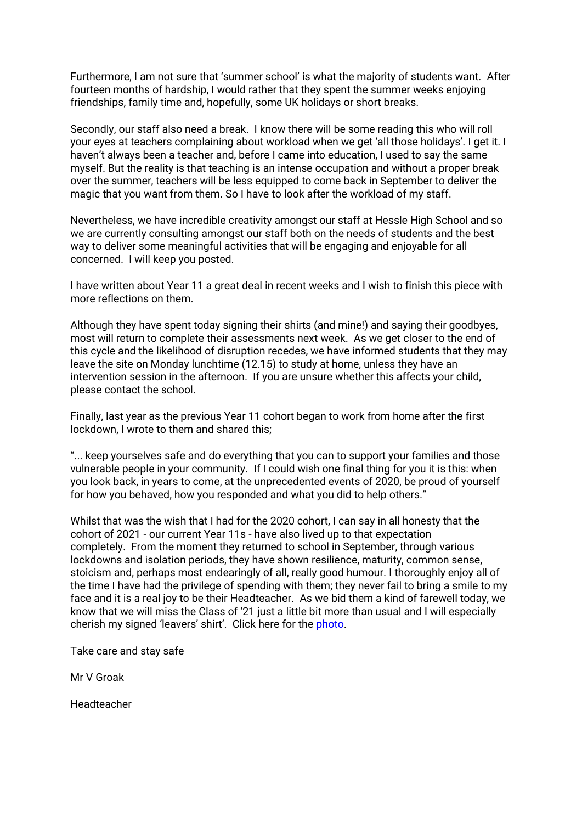Furthermore, I am not sure that 'summer school' is what the majority of students want. After fourteen months of hardship, I would rather that they spent the summer weeks enjoying friendships, family time and, hopefully, some UK holidays or short breaks.

Secondly, our staff also need a break. I know there will be some reading this who will roll your eyes at teachers complaining about workload when we get 'all those holidays'. I get it. I haven't always been a teacher and, before I came into education, I used to say the same myself. But the reality is that teaching is an intense occupation and without a proper break over the summer, teachers will be less equipped to come back in September to deliver the magic that you want from them. So I have to look after the workload of my staff.

Nevertheless, we have incredible creativity amongst our staff at Hessle High School and so we are currently consulting amongst our staff both on the needs of students and the best way to deliver some meaningful activities that will be engaging and enjoyable for all concerned. I will keep you posted.

I have written about Year 11 a great deal in recent weeks and I wish to finish this piece with more reflections on them.

Although they have spent today signing their shirts (and mine!) and saying their goodbyes, most will return to complete their assessments next week. As we get closer to the end of this cycle and the likelihood of disruption recedes, we have informed students that they may leave the site on Monday lunchtime (12.15) to study at home, unless they have an intervention session in the afternoon. If you are unsure whether this affects your child, please contact the school.

Finally, last year as the previous Year 11 cohort began to work from home after the first lockdown, I wrote to them and shared this;

"... keep yourselves safe and do everything that you can to support your families and those vulnerable people in your community. If I could wish one final thing for you it is this: when you look back, in years to come, at the unprecedented events of 2020, be proud of yourself for how you behaved, how you responded and what you did to help others."

Whilst that was the wish that I had for the 2020 cohort, I can say in all honesty that the cohort of 2021 - our current Year 11s - have also lived up to that expectation completely. From the moment they returned to school in September, through various lockdowns and isolation periods, they have shown resilience, maturity, common sense, stoicism and, perhaps most endearingly of all, really good humour. I thoroughly enjoy all of the time I have had the privilege of spending with them; they never fail to bring a smile to my face and it is a real joy to be their Headteacher. As we bid them a kind of farewell today, we know that we will miss the Class of '21 just a little bit more than usual and I will especially cherish my signed 'leavers' shirt'. Click here for the *photo*.

Take care and stay safe

Mr V Groak

Headteacher